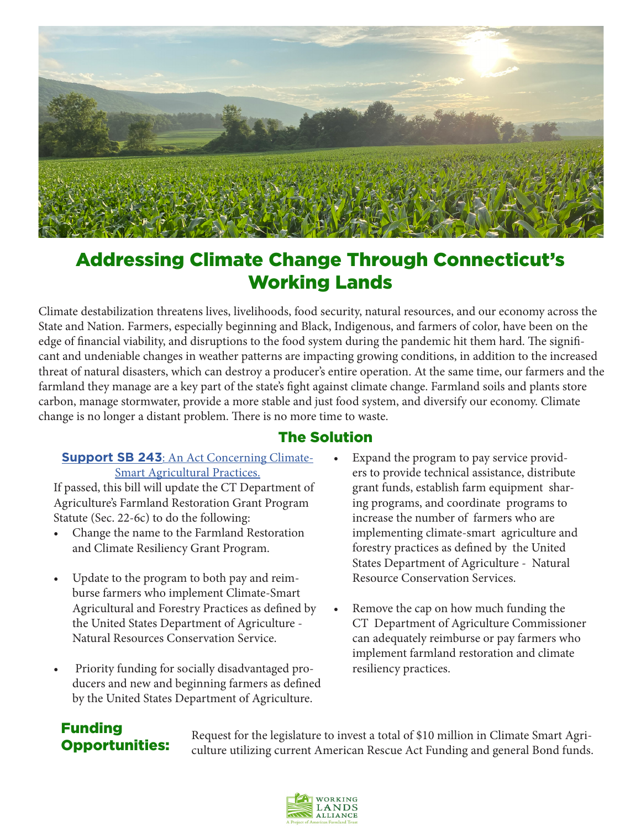

## Addressing Climate Change Through Connecticut's Working Lands

Climate destabilization threatens lives, livelihoods, food security, natural resources, and our economy across the State and Nation. Farmers, especially beginning and Black, Indigenous, and farmers of color, have been on the edge of financial viability, and disruptions to the food system during the pandemic hit them hard. The significant and undeniable changes in weather patterns are impacting growing conditions, in addition to the increased threat of natural disasters, which can destroy a producer's entire operation. At the same time, our farmers and the farmland they manage are a key part of the state's fight against climate change. Farmland soils and plants store carbon, manage stormwater, provide a more stable and just food system, and diversify our economy. Climate change is no longer a distant problem. There is no more time to waste.

#### The Solution

#### **Support SB 243**[: An Act Concerning Climate-](https://www.cga.ct.gov/asp/cgabillstatus/cgabillstatus.asp?selBillType=Bill&bill_num=SB00243&which_year=2022)[Smart Agricultural Practices.](https://www.cga.ct.gov/asp/cgabillstatus/cgabillstatus.asp?selBillType=Bill&bill_num=SB00243&which_year=2022)

If passed, this bill will update the CT Department of Agriculture's Farmland Restoration Grant Program Statute (Sec. 22-6c) to do the following:

- Change the name to the Farmland Restoration and Climate Resiliency Grant Program.
- Update to the program to both pay and reimburse farmers who implement Climate-Smart Agricultural and Forestry Practices as defined by the United States Department of Agriculture - Natural Resources Conservation Service.
- Priority funding for socially disadvantaged producers and new and beginning farmers as defined by the United States Department of Agriculture.
- Expand the program to pay service providers to provide technical assistance, distribute grant funds, establish farm equipment sharing programs, and coordinate programs to increase the number of farmers who are implementing climate-smart agriculture and forestry practices as defined by the United States Department of Agriculture - Natural Resource Conservation Services.
- Remove the cap on how much funding the CT Department of Agriculture Commissioner can adequately reimburse or pay farmers who implement farmland restoration and climate resiliency practices.

## Funding Opportunities:

Request for the legislature to invest a total of \$10 million in Climate Smart Agriculture utilizing current American Rescue Act Funding and general Bond funds.